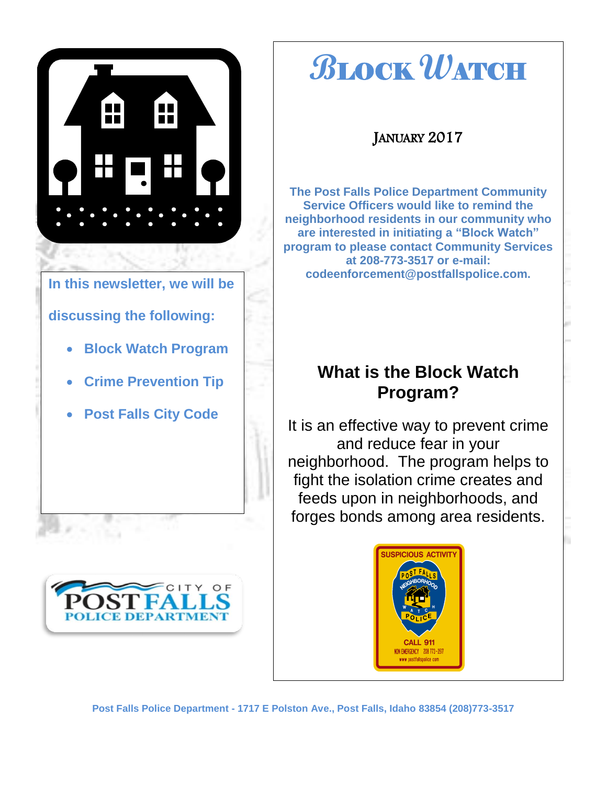



# **B**LOCK **W**ATCH

### JANUARY 2017

**The Post Falls Police Department Community Service Officers would like to remind the neighborhood residents in our community who are interested in initiating a "Block Watch" program to please contact Community Services at 208-773-3517 or e-mail: codeenforcement@postfallspolice.com.**

### **What is the Block Watch Program?**

It is an effective way to prevent crime and reduce fear in your neighborhood. The program helps to fight the isolation crime creates and feeds upon in neighborhoods, and forges bonds among area residents.

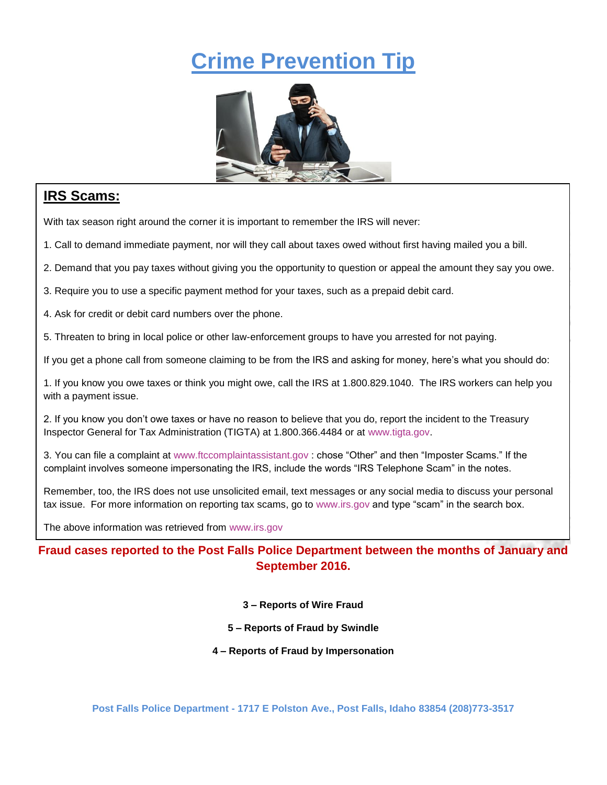# **Crime Prevention Tip**



#### **IRS Scams:**

I

With tax season right around the corner it is important to remember the IRS will never:

1. Call to demand immediate payment, nor will they call about taxes owed without first having mailed you a bill.

2. Demand that you pay taxes without giving you the opportunity to question or appeal the amount they say you owe.

3. Require you to use a specific payment method for your taxes, such as a prepaid debit card.

4. Ask for credit or debit card numbers over the phone.

5. Threaten to bring in local police or other law-enforcement groups to have you arrested for not paying.

If you get a phone call from someone claiming to be from the IRS and asking for money, here's what you should do:

1. If you know you owe taxes or think you might owe, call the IRS at 1.800.829.1040. The IRS workers can help you with a payment issue.

2. If you know you don't owe taxes or have no reason to believe that you do, report the incident to the Treasury Inspector General for Tax Administration (TIGTA) at 1.800.366.4484 or at [www.tigta.gov.](http://www.tigta.gov/)

3. You can file a complaint at [www.ftccomplaintassistant.gov](http://www.ftccomplaintassistant.gov/) : chose "Other" and then "Imposter Scams." If the complaint involves someone impersonating the IRS, include the words "IRS Telephone Scam" in the notes.

Remember, too, the IRS does not use unsolicited email, text messages or any social media to discuss your personal tax issue. For more information on reporting tax scams, go to [www.irs.gov](http://www.irs.gov/) and type "scam" in the search box.

The above information was retrieved from [www.irs.gov](http://www.irs.gov/)

**Fraud cases reported to the Post Falls Police Department between the months of January and September 2016.**

- **3 – Reports of Wire Fraud**
- **5 – Reports of Fraud by Swindle**
- **4 – Reports of Fraud by Impersonation**